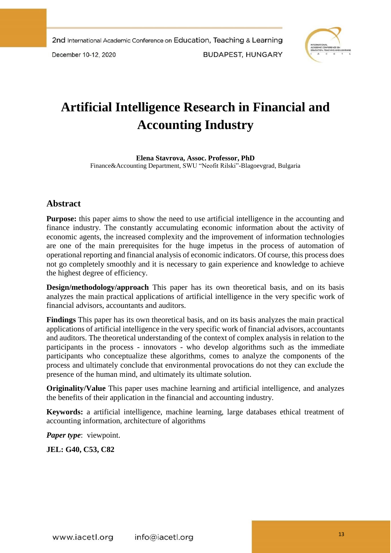December 10-12, 2020

**BUDAPEST, HUNGARY** 



# **Artificial Intelligence Research in Financial and Accounting Industry**

**Elena Stavrova, Assoc. Professor, PhD** Finance&Accounting Department, SWU "Neofit Rilski"-Blagoevgrad, Bulgaria

# **Abstract**

**Purpose:** this paper aims to show the need to use artificial intelligence in the accounting and finance industry. The constantly accumulating economic information about the activity of economic agents, the increased complexity and the improvement of information technologies are one of the main prerequisites for the huge impetus in the process of automation of operational reporting and financial analysis of economic indicators. Of course, this process does not go completely smoothly and it is necessary to gain experience and knowledge to achieve the highest degree of efficiency.

**Design/methodology/approach** This paper has its own theoretical basis, and on its basis analyzes the main practical applications of artificial intelligence in the very specific work of financial advisors, accountants and auditors.

**Findings** This paper has its own theoretical basis, and on its basis analyzes the main practical applications of artificial intelligence in the very specific work of financial advisors, accountants and auditors. The theoretical understanding of the context of complex analysis in relation to the participants in the process - innovators - who develop algorithms such as the immediate participants who conceptualize these algorithms, comes to analyze the components of the process and ultimately conclude that environmental provocations do not they can exclude the presence of the human mind, and ultimately its ultimate solution.

**Originality/Value** This paper uses machine learning and artificial intelligence, and analyzes the benefits of their application in the financial and accounting industry.

**Keywords:** a artificial intelligence, machine learning, large databases ethical treatment of accounting information, architecture of algorithms

*Paper type*: viewpoint.

**JEL: G40, C53, C82**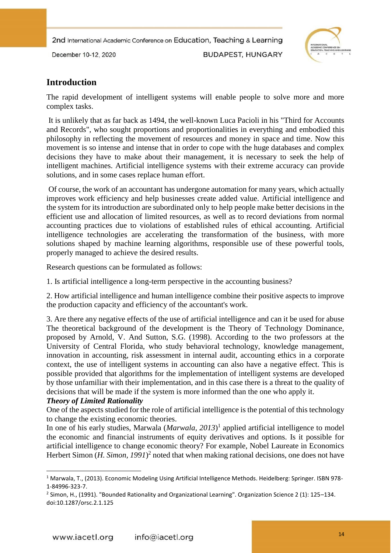December 10-12, 2020

**BUDAPEST, HUNGARY** 



# **Introduction**

The rapid development of intelligent systems will enable people to solve more and more complex tasks.

It is unlikely that as far back as 1494, the well-known Luca Pacioli in his "Third for Accounts and Records", who sought proportions and proportionalities in everything and embodied this philosophy in reflecting the movement of resources and money in space and time. Now this movement is so intense and intense that in order to cope with the huge databases and complex decisions they have to make about their management, it is necessary to seek the help of intelligent machines. Artificial intelligence systems with their extreme accuracy can provide solutions, and in some cases replace human effort.

Of course, the work of an accountant has undergone automation for many years, which actually improves work efficiency and help businesses create added value. Artificial intelligence and the system for its introduction are subordinated only to help people make better decisions in the efficient use and allocation of limited resources, as well as to record deviations from normal accounting practices due to violations of established rules of ethical accounting. Artificial intelligence technologies are accelerating the transformation of the business, with more solutions shaped by machine learning algorithms, responsible use of these powerful tools, properly managed to achieve the desired results.

Research questions can be formulated as follows:

1. Is artificial intelligence a long-term perspective in the accounting business?

2. How artificial intelligence and human intelligence combine their positive aspects to improve the production capacity and efficiency of the accountant's work.

3. Are there any negative effects of the use of artificial intelligence and can it be used for abuse The theoretical background of the development is the Theory of Technology Dominance, proposed by Arnold, V. And Sutton, S.G. (1998). According to the two professors at the University of Central Florida, who study behavioral technology, knowledge management, innovation in accounting, risk assessment in internal audit, accounting ethics in a corporate context, the use of intelligent systems in accounting can also have a negative effect. This is possible provided that algorithms for the implementation of intelligent systems are developed by those unfamiliar with their implementation, and in this case there is a threat to the quality of decisions that will be made if the system is more informed than the one who apply it.

## *Theory of Limited Rationality*

1

One of the aspects studied for the role of artificial intelligence is the potential of this technology to change the existing economic theories.

In one of his early studies, Marwala (*Marwala, 2013*) 1 applied artificial intelligence to model the economic and financial instruments of equity derivatives and options. Is it possible for artificial intelligence to change economic theory? For example, Nobel Laureate in Economics Herbert Simon  $(H. Simon, 1991)^2$  noted that when making rational decisions, one does not have

<sup>1</sup> Marwala, T., (2013). Economic Modeling Using Artificial Intelligence Methods. Heidelberg: Springer. ISBN 978- 1-84996-323-7.

<sup>2</sup> Simon, H., (1991). "Bounded Rationality and Organizational Learning". Organization Science 2 (1): 125–134. doi:10.1287/orsc.2.1.125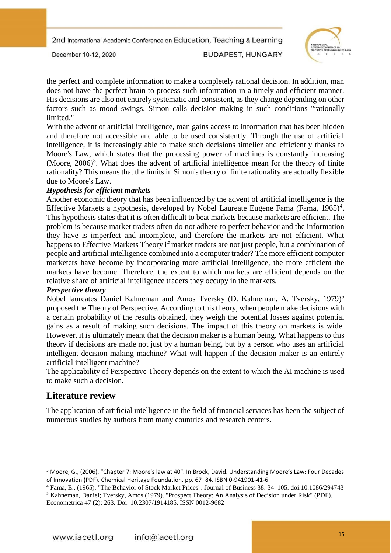December 10-12, 2020

**BUDAPEST, HUNGARY** 



the perfect and complete information to make a completely rational decision. In addition, man does not have the perfect brain to process such information in a timely and efficient manner. His decisions are also not entirely systematic and consistent, as they change depending on other factors such as mood swings. Simon calls decision-making in such conditions "rationally limited."

With the advent of artificial intelligence, man gains access to information that has been hidden and therefore not accessible and able to be used consistently. Through the use of artificial intelligence, it is increasingly able to make such decisions timelier and efficiently thanks to Moore's Law, which states that the processing power of machines is constantly increasing (Moore,  $2006$ )<sup>3</sup>. What does the advent of artificial intelligence mean for the theory of finite rationality? This means that the limits in Simon's theory of finite rationality are actually flexible due to Moore's Law.

#### *Hypothesis for efficient markets*

Another economic theory that has been influenced by the advent of artificial intelligence is the Effective Markets a hypothesis, developed by Nobel Laureate Eugene Fama (Fama,  $1965)^4$ . This hypothesis states that it is often difficult to beat markets because markets are efficient. The problem is because market traders often do not adhere to perfect behavior and the information they have is imperfect and incomplete, and therefore the markets are not efficient. What happens to Effective Markets Theory if market traders are not just people, but a combination of people and artificial intelligence combined into a computer trader? The more efficient computer marketers have become by incorporating more artificial intelligence, the more efficient the markets have become. Therefore, the extent to which markets are efficient depends on the relative share of artificial intelligence traders they occupy in the markets.

#### *Perspective theory*

Nobel laureates Daniel Kahneman and Amos Tversky (D. Kahneman, A. Tversky, 1979)<sup>5</sup> proposed the Theory of Perspective. According to this theory, when people make decisions with a certain probability of the results obtained, they weigh the potential losses against potential gains as a result of making such decisions. The impact of this theory on markets is wide. However, it is ultimately meant that the decision maker is a human being. What happens to this theory if decisions are made not just by a human being, but by a person who uses an artificial intelligent decision-making machine? What will happen if the decision maker is an entirely artificial intelligent machine?

The applicability of Perspective Theory depends on the extent to which the AI machine is used to make such a decision.

# **Literature review**

**.** 

The application of artificial intelligence in the field of financial services has been the subject of numerous studies by authors from many countries and research centers.

<sup>3</sup> Moore, G., (2006). "Chapter 7: Moore's law at 40". In Brock, David. Understanding Moore's Law: Four Decades of Innovation (PDF). Chemical Heritage Foundation. pp. 67–84. ISBN 0-941901-41-6.

<sup>4</sup> Fama, E., (1965). "The Behavior of Stock Market Prices". Journal of Business 38: 34–105. doi:10.1086/294743 <sup>5</sup> Kahneman, Daniel; Tversky, Amos (1979). "Prospect Theory: An Analysis of Decision under Risk" (PDF). Econometrica 47 (2): 263. Doi: 10.2307/1914185. ISSN 0012-9682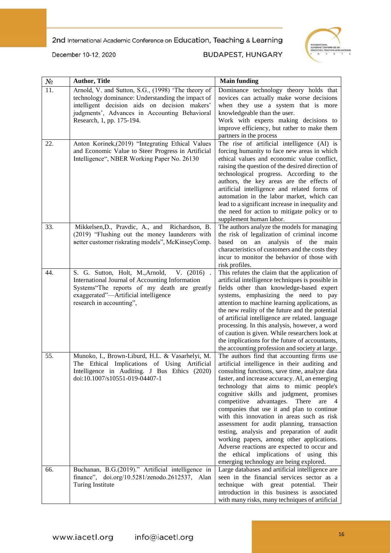

December 10-12, 2020

## **BUDAPEST, HUNGARY**

| $N\!{\underline{\rm o}}$ | <b>Author, Title</b>                                                                                                                                                                                                                   | <b>Main funding</b>                                                                                                                                                                                                                                                                                                                                                                                                                                                                                                                                                                                                                                                                                    |
|--------------------------|----------------------------------------------------------------------------------------------------------------------------------------------------------------------------------------------------------------------------------------|--------------------------------------------------------------------------------------------------------------------------------------------------------------------------------------------------------------------------------------------------------------------------------------------------------------------------------------------------------------------------------------------------------------------------------------------------------------------------------------------------------------------------------------------------------------------------------------------------------------------------------------------------------------------------------------------------------|
| 11.                      | Arnold, V. and Sutton, S.G., (1998) 'The theory of<br>technology dominance: Understanding the impact of<br>intelligent decision aids on decision makers'<br>judgments', Advances in Accounting Behavioral<br>Research, 1, pp. 175-194. | Dominance technology theory holds that<br>novices can actually make worse decisions<br>when they use a system that is more<br>knowledgeable than the user.<br>Work with experts making decisions to<br>improve efficiency, but rather to make them<br>partners in the process                                                                                                                                                                                                                                                                                                                                                                                                                          |
| 22.                      | Anton Korinek,(2019) "Integrating Ethical Values<br>and Economic Value to Steer Progress in Artificial<br>Intelligence", NBER Working Paper No. 26130                                                                                  | The rise of artificial intelligence (AI) is<br>forcing humanity to face new areas in which<br>ethical values and economic value conflict,<br>raising the question of the desired direction of<br>technological progress. According to the<br>authors, the key areas are the effects of<br>artificial intelligence and related forms of<br>automation in the labor market, which can<br>lead to a significant increase in inequality and<br>the need for action to mitigate policy or to<br>supplement human labor.                                                                                                                                                                                     |
| 33.                      | Mikkelsen, D., Pravdic, A., and Richardson, B.<br>(2019) "Flushing out the money launderers with<br>Better customer riskrating models", McKinseyComp.                                                                                  | The authors analyze the models for managing<br>the risk of legalization of criminal income<br>analysis<br>based<br>an<br>of<br>the<br>main<br>on<br>characteristics of customers and the costs they<br>incur to monitor the behavior of those with<br>risk profiles.                                                                                                                                                                                                                                                                                                                                                                                                                                   |
| 44.                      | S. G. Sutton, Holt, M., Arnold, V. (2016).<br>International Journal of Accounting Information<br>Systems"The reports of my death are greatly<br>exaggerated"-Artificial intelligence<br>research in accounting",                       | This refutes the claim that the application of<br>artificial intelligence techniques is possible in<br>fields other than knowledge-based expert<br>systems, emphasizing the need to pay<br>attention to machine learning applications, as<br>the new reality of the future and the potential<br>of artificial intelligence are related. language<br>processing. In this analysis, however, a word<br>of caution is given. While researchers look at<br>the implications for the future of accountants,<br>the accounting profession and society at large.                                                                                                                                              |
| 55.                      | Munoko, I., Brown-Liburd, H.L. & Vasarhelyi, M.<br>The Ethical Implications of Using Artificial<br>Intelligence in Auditing. J Bus Ethics (2020)<br>doi:10.1007/s10551-019-04407-1                                                     | The authors find that accounting firms use<br>artificial intelligence in their auditing and<br>consulting functions, save time, analyze data<br>faster, and increase accuracy. AI, an emerging<br>technology that aims to mimic people's<br>cognitive skills and judgment, promises<br>competitive advantages. There<br>are 4<br>companies that use it and plan to continue<br>with this innovation in areas such as risk<br>assessment for audit planning, transaction<br>testing, analysis and preparation of audit<br>working papers, among other applications.<br>Adverse reactions are expected to occur and<br>the ethical implications of using this<br>emerging technology are being explored. |
| 66.                      | Buchanan, B.G.(2019)." Artificial intelligence in<br>finance", doi.org/10.5281/zenodo.2612537, Alan<br>Turing Institute                                                                                                                | Large databases and artificial intelligence are<br>seen in the financial services sector as a<br>technique with great potential.<br>Their<br>introduction in this business is associated<br>with many risks, many techniques of artificial                                                                                                                                                                                                                                                                                                                                                                                                                                                             |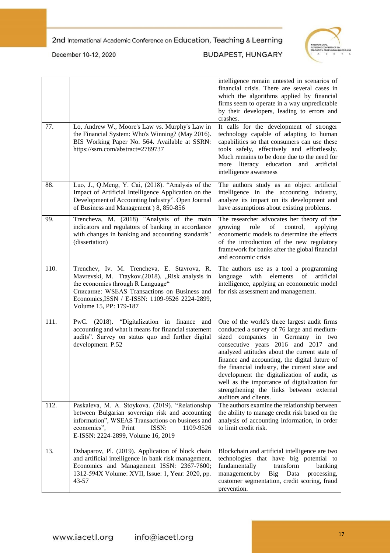

December 10-12, 2020

## **BUDAPEST, HUNGARY**

| 77.  | Lo, Andrew W., Moore's Law vs. Murphy's Law in<br>the Financial System: Who's Winning? (May 2016).<br>BIS Working Paper No. 564. Available at SSRN:                                                                                                             | which the algorithms applied by financial<br>firms seem to operate in a way unpredictable<br>by their developers, leading to errors and<br>crashes.<br>It calls for the development of stronger<br>technology capable of adapting to human<br>capabilities so that consumers can use these                                                                                                                                                                                                       |
|------|-----------------------------------------------------------------------------------------------------------------------------------------------------------------------------------------------------------------------------------------------------------------|--------------------------------------------------------------------------------------------------------------------------------------------------------------------------------------------------------------------------------------------------------------------------------------------------------------------------------------------------------------------------------------------------------------------------------------------------------------------------------------------------|
|      | https://ssrn.com/abstract=2789737                                                                                                                                                                                                                               | tools safely, effectively and effortlessly.<br>Much remains to be done due to the need for<br>more literacy education and artificial<br>intelligence awareness                                                                                                                                                                                                                                                                                                                                   |
| 88.  | Luo, J., Q.Meng, Y. Cai, (2018). "Analysis of the<br>Impact of Artificial Intelligence Application on the<br>Development of Accounting Industry". Open Journal<br>of Business and Management ) 8, 850-856                                                       | The authors study as an object artificial<br>intelligence in the accounting industry,<br>analyze its impact on its development and<br>have assumptions about existing problems.                                                                                                                                                                                                                                                                                                                  |
| 99.  | Trencheva, M. (2018) "Analysis of the main<br>indicators and regulators of banking in accordance<br>with changes in banking and accounting standards"<br>(dissertation)                                                                                         | The researcher advocates her theory of the<br>role<br>of<br>growing<br>control,<br>applying<br>econometric models to determine the effects<br>of the introduction of the new regulatory<br>framework for banks after the global financial<br>and economic crisis                                                                                                                                                                                                                                 |
| 110. | Trenchev, Iv. M. Trencheva, E. Stavrova, R.<br>Mavrevski, M. Ttaykov.(2018). "Risk analysis in<br>the economics through R Language"<br>Списание: WSEAS Transactions on Business and<br>Economics, ISSN / E-ISSN: 1109-9526 2224-2899,<br>Volume 15, PP: 179-187 | The authors use as a tool a programming<br>artificial<br>language<br>with<br>elements<br>of<br>intelligence, applying an econometric model<br>for risk assessment and management.                                                                                                                                                                                                                                                                                                                |
| 111. | PwC. (2018). "Digitalization in finance and<br>accounting and what it means for financial statement<br>audits". Survey on status quo and further digital<br>development. P.52                                                                                   | One of the world's three largest audit firms<br>conducted a survey of 76 large and medium-<br>sized companies in Germany in<br>two<br>consecutive years 2016 and 2017 and<br>analyzed attitudes about the current state of<br>finance and accounting, the digital future of<br>the financial industry, the current state and<br>development the digitalization of audit, as<br>well as the importance of digitalization for<br>strengthening the links between external<br>auditors and clients. |
| 112. | Paskaleva, M. A. Stoykova. (2019). "Relationship<br>between Bulgarian sovereign risk and accounting<br>information", WSEAS Transactions on business and<br>economics",<br>ISSN:<br>Print<br>1109-9526<br>E-ISSN: 2224-2899, Volume 16, 2019                     | The authors examine the relationship between<br>the ability to manage credit risk based on the<br>analysis of accounting information, in order<br>to limit credit risk.                                                                                                                                                                                                                                                                                                                          |
| 13.  | Dzhaparov, Pl. (2019). Application of block chain<br>and artificial intelligence in bank risk management,<br>Economics and Management ISSN: 2367-7600;<br>1312-594X Volume: XVII, Issue: 1, Year: 2020, pp.<br>43-57                                            | Blockchain and artificial intelligence are two<br>technologies that have big potential to<br>fundamentally<br>transform<br>banking<br>management.by<br><b>Big</b><br>Data<br>processing,<br>customer segmentation, credit scoring, fraud<br>prevention.                                                                                                                                                                                                                                          |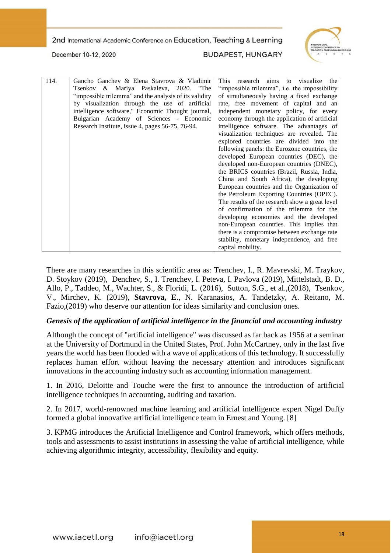

December 10-12, 2020

**BUDAPEST, HUNGARY** 

| 114. | Gancho Ganchev & Elena Stavrova & Vladimir             | This<br>aims<br>the<br>research<br>to visualize |
|------|--------------------------------------------------------|-------------------------------------------------|
|      | Tsenkov & Mariya Paskaleva, 2020. "The                 | "impossible trilemma", i.e. the impossibility   |
|      | "impossible trilemma" and the analysis of its validity | of simultaneously having a fixed exchange       |
|      | by visualization through the use of artificial         | rate, free movement of capital and an           |
|      | intelligence software," Economic Thought journal,      | independent monetary policy, for every          |
|      | Bulgarian Academy of Sciences - Economic               | economy through the application of artificial   |
|      | Research Institute, issue 4, pages 56-75, 76-94.       | intelligence software. The advantages of        |
|      |                                                        | visualization techniques are revealed. The      |
|      |                                                        | explored countries are divided into the         |
|      |                                                        | following panels: the Eurozone countries, the   |
|      |                                                        | developed European countries (DEC), the         |
|      |                                                        | developed non-European countries (DNEC),        |
|      |                                                        | the BRICS countries (Brazil, Russia, India,     |
|      |                                                        | China and South Africa), the developing         |
|      |                                                        | European countries and the Organization of      |
|      |                                                        | the Petroleum Exporting Countries (OPEC).       |
|      |                                                        | The results of the research show a great level  |
|      |                                                        | of confirmation of the trilemma for the         |
|      |                                                        | developing economies and the developed          |
|      |                                                        | non-European countries. This implies that       |
|      |                                                        | there is a compromise between exchange rate     |
|      |                                                        | stability, monetary independence, and free      |
|      |                                                        | capital mobility.                               |

There are many researches in this scientific area as: Trenchev, I., R. Mavrevski, M. Traykov, D. Stoykov (2019), Denchev, S., I. Trenchev, I. Peteva, I. Pavlova (2019), Mittelstadt, B. D., Allo, P., Taddeo, M., Wachter, S., & Floridi, L. (2016), Sutton, S.G., et al.,(2018), Tsenkov, V., Mirchev, K. (2019), **Stavrova, E**., N. Karanasios, A. Tandetzky, A. Reitano, M. Fazio,(2019) who deserve our attention for ideas similarity and conclusion ones.

#### *Genesis of the application of artificial intelligence in the financial and accounting industry*

Although the concept of "artificial intelligence" was discussed as far back as 1956 at a seminar at the University of Dortmund in the United States, Prof. John McCartney, only in the last five years the world has been flooded with a wave of applications of this technology. It successfully replaces human effort without leaving the necessary attention and introduces significant innovations in the accounting industry such as accounting information management.

1. In 2016, Deloitte and Touche were the first to announce the introduction of artificial intelligence techniques in accounting, auditing and taxation.

2. In 2017, world-renowned machine learning and artificial intelligence expert Nigel Duffy formed a global innovative artificial intelligence team in Ernest and Young. [8]

3. KPMG introduces the Artificial Intelligence and Control framework, which offers methods, tools and assessments to assist institutions in assessing the value of artificial intelligence, while achieving algorithmic integrity, accessibility, flexibility and equity.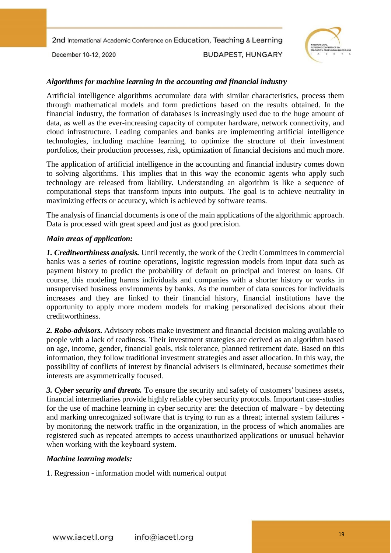December 10-12, 2020

**BUDAPEST, HUNGARY** 



## *Algorithms for machine learning in the accounting and financial industry*

Artificial intelligence algorithms accumulate data with similar characteristics, process them through mathematical models and form predictions based on the results obtained. In the financial industry, the formation of databases is increasingly used due to the huge amount of data, as well as the ever-increasing capacity of computer hardware, network connectivity, and cloud infrastructure. Leading companies and banks are implementing artificial intelligence technologies, including machine learning, to optimize the structure of their investment portfolios, their production processes, risk, optimization of financial decisions and much more.

The application of artificial intelligence in the accounting and financial industry comes down to solving algorithms. This implies that in this way the economic agents who apply such technology are released from liability. Understanding an algorithm is like a sequence of computational steps that transform inputs into outputs. The goal is to achieve neutrality in maximizing effects or accuracy, which is achieved by software teams.

The analysis of financial documents is one of the main applications of the algorithmic approach. Data is processed with great speed and just as good precision.

#### *Main areas of application:*

*1. Creditworthiness analysis.* Until recently, the work of the Credit Committees in commercial banks was a series of routine operations, logistic regression models from input data such as payment history to predict the probability of default on principal and interest on loans. Of course, this modeling harms individuals and companies with a shorter history or works in unsupervised business environments by banks. As the number of data sources for individuals increases and they are linked to their financial history, financial institutions have the opportunity to apply more modern models for making personalized decisions about their creditworthiness.

*2. Robo-advisors.* Advisory robots make investment and financial decision making available to people with a lack of readiness. Their investment strategies are derived as an algorithm based on age, income, gender, financial goals, risk tolerance, planned retirement date. Based on this information, they follow traditional investment strategies and asset allocation. In this way, the possibility of conflicts of interest by financial advisers is eliminated, because sometimes their interests are asymmetrically focused.

*3. Cyber security and threats.* To ensure the security and safety of customers' business assets, financial intermediaries provide highly reliable cyber security protocols. Important case-studies for the use of machine learning in cyber security are: the detection of malware - by detecting and marking unrecognized software that is trying to run as a threat; internal system failures by monitoring the network traffic in the organization, in the process of which anomalies are registered such as repeated attempts to access unauthorized applications or unusual behavior when working with the keyboard system.

## *Machine learning models:*

1. Regression - information model with numerical output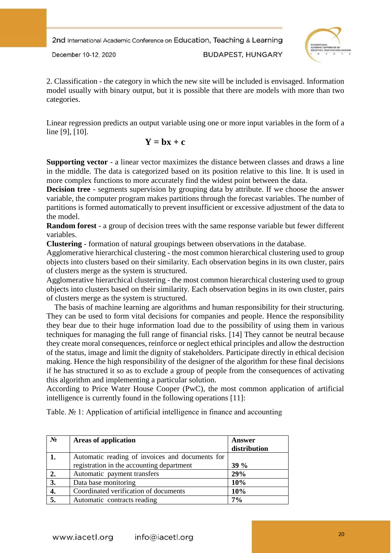

December 10-12, 2020

**BUDAPEST, HUNGARY** 

2. Classification - the category in which the new site will be included is envisaged. Information model usually with binary output, but it is possible that there are models with more than two categories.

Linear regression predicts an output variable using one or more input variables in the form of a line [9], [10].

$$
\mathbf{Y} = \mathbf{b}\mathbf{x} + \mathbf{c}
$$

**Supporting vector** - a linear vector maximizes the distance between classes and draws a line in the middle. The data is categorized based on its position relative to this line. It is used in more complex functions to more accurately find the widest point between the data.

**Decision tree** - segments supervision by grouping data by attribute. If we choose the answer variable, the computer program makes partitions through the forecast variables. The number of partitions is formed automatically to prevent insufficient or excessive adjustment of the data to the model.

**Random forest** - a group of decision trees with the same response variable but fewer different variables.

**Clustering** - formation of natural groupings between observations in the database.

Agglomerative hierarchical clustering - the most common hierarchical clustering used to group objects into clusters based on their similarity. Each observation begins in its own cluster, pairs of clusters merge as the system is structured.

Agglomerative hierarchical clustering - the most common hierarchical clustering used to group objects into clusters based on their similarity. Each observation begins in its own cluster, pairs of clusters merge as the system is structured.

 The basis of machine learning are algorithms and human responsibility for their structuring. They can be used to form vital decisions for companies and people. Hence the responsibility they bear due to their huge information load due to the possibility of using them in various techniques for managing the full range of financial risks. [14] They cannot be neutral because they create moral consequences, reinforce or neglect ethical principles and allow the destruction of the status, image and limit the dignity of stakeholders. Participate directly in ethical decision making. Hence the high responsibility of the designer of the algorithm for these final decisions if he has structured it so as to exclude a group of people from the consequences of activating this algorithm and implementing a particular solution.

According to Price Water House Cooper (PwC), the most common application of artificial intelligence is currently found in the following operations [11]:

Table. № 1: Application of artificial intelligence in finance and accounting

| $N_2$ | <b>Areas of application</b>                                                                  | Answer<br>distribution |
|-------|----------------------------------------------------------------------------------------------|------------------------|
| 1.    | Automatic reading of invoices and documents for<br>registration in the accounting department | $39\%$                 |
|       |                                                                                              |                        |
| 2.    | Automatic payment transfers                                                                  | 29%                    |
| 3.    | Data base monitoring                                                                         | 10%                    |
| 4.    | Coordinated verification of documents                                                        | 10%                    |
| 5.    | Automatic contracts reading                                                                  | $7\%$                  |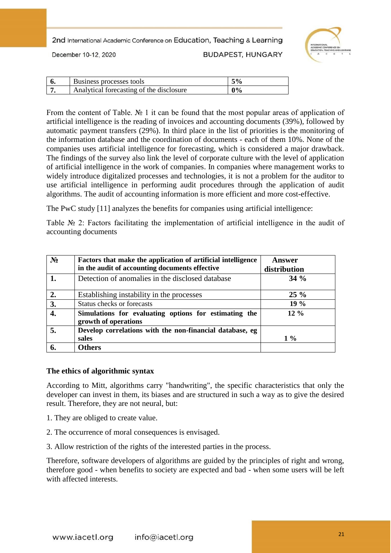December 10-12, 2020

**BUDAPEST, HUNGARY** 



| Business processes tools                 | .5%   |
|------------------------------------------|-------|
| Analytical forecasting of the disclosure | $0\%$ |

From the content of Table. No 1 it can be found that the most popular areas of application of artificial intelligence is the reading of invoices and accounting documents (39%), followed by automatic payment transfers (29%). In third place in the list of priorities is the monitoring of the information database and the coordination of documents - each of them 10%. None of the companies uses artificial intelligence for forecasting, which is considered a major drawback. The findings of the survey also link the level of corporate culture with the level of application of artificial intelligence in the work of companies. In companies where management works to widely introduce digitalized processes and technologies, it is not a problem for the auditor to use artificial intelligence in performing audit procedures through the application of audit algorithms. The audit of accounting information is more efficient and more cost-effective.

The PwC study [11] analyzes the benefits for companies using artificial intelligence:

Table № 2: Factors facilitating the implementation of artificial intelligence in the audit of accounting documents

| $N_2$ | Factors that make the application of artificial intelligence<br>in the audit of accounting documents effective | Answer<br>distribution |
|-------|----------------------------------------------------------------------------------------------------------------|------------------------|
|       | Detection of anomalies in the disclosed database                                                               | $34\%$                 |
| 2.    | Establishing instability in the processes                                                                      | $25\%$                 |
| 3.    | Status checks or forecasts                                                                                     | 19 %                   |
|       | Simulations for evaluating options for estimating the<br>growth of operations                                  | $12\%$                 |
| 5.    | Develop correlations with the non-financial database, eg<br>sales                                              | $1\%$                  |
|       | <b>Others</b>                                                                                                  |                        |

#### **The ethics of algorithmic syntax**

According to Mitt, algorithms carry "handwriting", the specific characteristics that only the developer can invest in them, its biases and are structured in such a way as to give the desired result. Therefore, they are not neural, but:

- 1. They are obliged to create value.
- 2. The occurrence of moral consequences is envisaged.
- 3. Allow restriction of the rights of the interested parties in the process.

Therefore, software developers of algorithms are guided by the principles of right and wrong, therefore good - when benefits to society are expected and bad - when some users will be left with affected interests.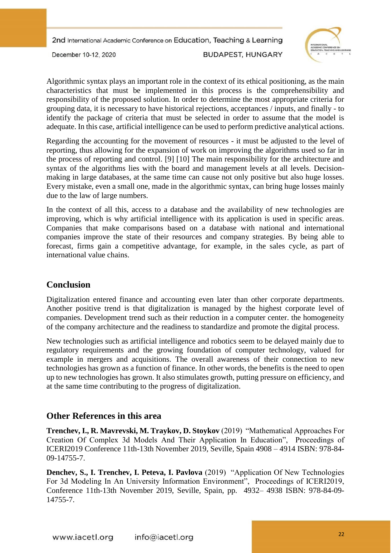December 10-12, 2020

**BUDAPEST, HUNGARY** 



Algorithmic syntax plays an important role in the context of its ethical positioning, as the main characteristics that must be implemented in this process is the comprehensibility and responsibility of the proposed solution. In order to determine the most appropriate criteria for grouping data, it is necessary to have historical rejections, acceptances / inputs, and finally - to identify the package of criteria that must be selected in order to assume that the model is adequate. In this case, artificial intelligence can be used to perform predictive analytical actions.

Regarding the accounting for the movement of resources - it must be adjusted to the level of reporting, thus allowing for the expansion of work on improving the algorithms used so far in the process of reporting and control. [9] [10] The main responsibility for the architecture and syntax of the algorithms lies with the board and management levels at all levels. Decisionmaking in large databases, at the same time can cause not only positive but also huge losses. Every mistake, even a small one, made in the algorithmic syntax, can bring huge losses mainly due to the law of large numbers.

In the context of all this, access to a database and the availability of new technologies are improving, which is why artificial intelligence with its application is used in specific areas. Companies that make comparisons based on a database with national and international companies improve the state of their resources and company strategies. By being able to forecast, firms gain a competitive advantage, for example, in the sales cycle, as part of international value chains.

# **Conclusion**

Digitalization entered finance and accounting even later than other corporate departments. Another positive trend is that digitalization is managed by the highest corporate level of companies. Development trend such as their reduction in a computer center. the homogeneity of the company architecture and the readiness to standardize and promote the digital process.

New technologies such as artificial intelligence and robotics seem to be delayed mainly due to regulatory requirements and the growing foundation of computer technology, valued for example in mergers and acquisitions. The overall awareness of their connection to new technologies has grown as a function of finance. In other words, the benefits is the need to open up to new technologies has grown. It also stimulates growth, putting pressure on efficiency, and at the same time contributing to the progress of digitalization.

# **Other References in this area**

**Trenchev, I., R. Mavrevski, M. Traykov, D. Stoykov** (2019) "Mathematical Approaches For Creation Of Complex 3d Models And Their Application In Education", Proceedings of ICERI2019 Conference 11th-13th November 2019, Seville, Spain 4908 – 4914 ISBN: 978-84- 09-14755-7.

**Denchev, S., I. Trenchev, I. Peteva, I. Pavlova** (2019) "Application Of New Technologies For 3d Modeling In An University Information Environment", Proceedings of ICERI2019, Conference 11th-13th November 2019, Seville, Spain, pp. 4932– 4938 ISBN: 978-84-09- 14755-7.